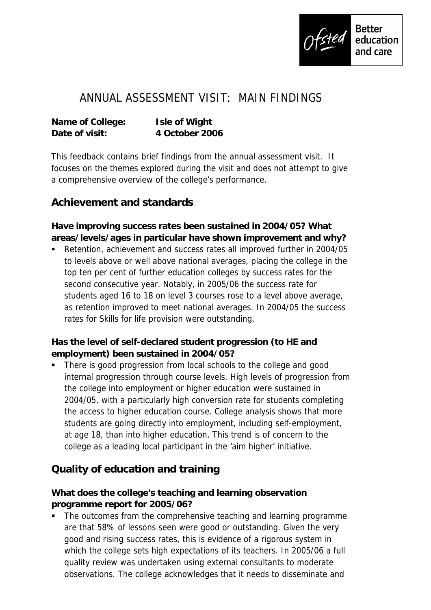

## ANNUAL ASSESSMENT VISIT: MAIN FINDINGS

| Name of College: | I sle of Wight |
|------------------|----------------|
| Date of visit:   | 4 October 2006 |

This feedback contains brief findings from the annual assessment visit. It focuses on the themes explored during the visit and does not attempt to give a comprehensive overview of the college's performance.

## **Achievement and standards**

**Have improving success rates been sustained in 2004/05? What areas/levels/ages in particular have shown improvement and why?**

 Retention, achievement and success rates all improved further in 2004/05 to levels above or well above national averages, placing the college in the top ten per cent of further education colleges by success rates for the second consecutive year. Notably, in 2005/06 the success rate for students aged 16 to 18 on level 3 courses rose to a level above average, as retention improved to meet national averages. In 2004/05 the success rates for Skills for life provision were outstanding.

**Has the level of self-declared student progression (to HE and employment) been sustained in 2004/05?**

 There is good progression from local schools to the college and good internal progression through course levels. High levels of progression from the college into employment or higher education were sustained in 2004/05, with a particularly high conversion rate for students completing the access to higher education course. College analysis shows that more students are going directly into employment, including self-employment, at age 18, than into higher education. This trend is of concern to the college as a leading local participant in the 'aim higher' initiative.

## **Quality of education and training**

**What does the college's teaching and learning observation programme report for 2005/06?**

 The outcomes from the comprehensive teaching and learning programme are that 58% of lessons seen were good or outstanding. Given the very good and rising success rates, this is evidence of a rigorous system in which the college sets high expectations of its teachers. In 2005/06 a full quality review was undertaken using external consultants to moderate observations. The college acknowledges that it needs to disseminate and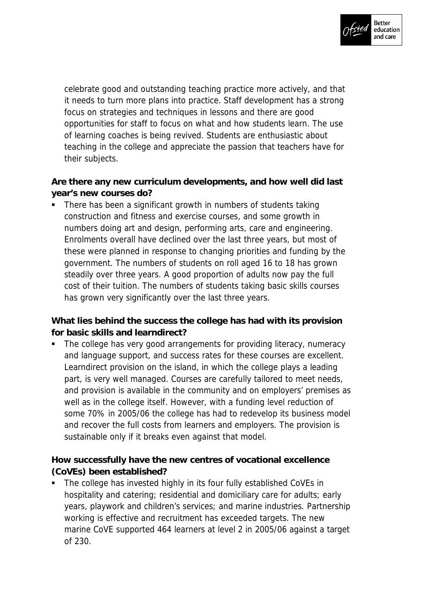

celebrate good and outstanding teaching practice more actively, and that it needs to turn more plans into practice. Staff development has a strong focus on strategies and techniques in lessons and there are good opportunities for staff to focus on what and how students learn. The use of learning coaches is being revived. Students are enthusiastic about teaching in the college and appreciate the passion that teachers have for their subjects.

**Are there any new curriculum developments, and how well did last year's new courses do?**

• There has been a significant growth in numbers of students taking construction and fitness and exercise courses, and some growth in numbers doing art and design, performing arts, care and engineering. Enrolments overall have declined over the last three years, but most of these were planned in response to changing priorities and funding by the government. The numbers of students on roll aged 16 to 18 has grown steadily over three years. A good proportion of adults now pay the full cost of their tuition. The numbers of students taking basic skills courses has grown very significantly over the last three years.

**What lies behind the success the college has had with its provision for basic skills and learndirect?**

 The college has very good arrangements for providing literacy, numeracy and language support, and success rates for these courses are excellent. Learndirect provision on the island, in which the college plays a leading part, is very well managed. Courses are carefully tailored to meet needs, and provision is available in the community and on employers' premises as well as in the college itself. However, with a funding level reduction of some 70% in 2005/06 the college has had to redevelop its business model and recover the full costs from learners and employers. The provision is sustainable only if it breaks even against that model.

**How successfully have the new centres of vocational excellence (CoVEs) been established?**

 The college has invested highly in its four fully established CoVEs in hospitality and catering; residential and domiciliary care for adults; early years, playwork and children's services; and marine industries. Partnership working is effective and recruitment has exceeded targets. The new marine CoVE supported 464 learners at level 2 in 2005/06 against a target of 230.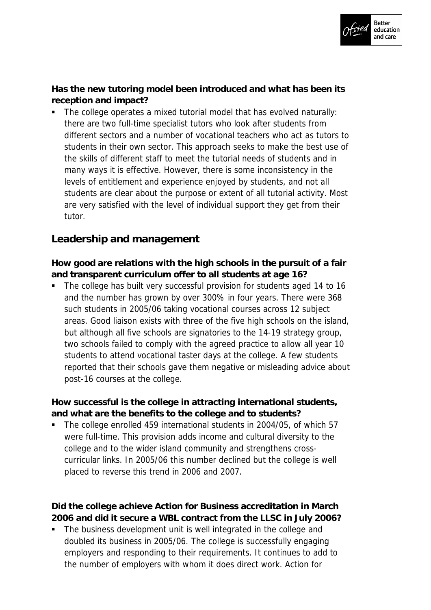

**Has the new tutoring model been introduced and what has been its reception and impact?**

 The college operates a mixed tutorial model that has evolved naturally: there are two full-time specialist tutors who look after students from different sectors and a number of vocational teachers who act as tutors to students in their own sector. This approach seeks to make the best use of the skills of different staff to meet the tutorial needs of students and in many ways it is effective. However, there is some inconsistency in the levels of entitlement and experience enjoyed by students, and not all students are clear about the purpose or extent of all tutorial activity. Most are very satisfied with the level of individual support they get from their tutor.

## **Leadership and management**

**How good are relations with the high schools in the pursuit of a fair and transparent curriculum offer to all students at age 16?**

 The college has built very successful provision for students aged 14 to 16 and the number has grown by over 300% in four years. There were 368 such students in 2005/06 taking vocational courses across 12 subject areas. Good liaison exists with three of the five high schools on the island, but although all five schools are signatories to the 14-19 strategy group, two schools failed to comply with the agreed practice to allow all year 10 students to attend vocational taster days at the college. A few students reported that their schools gave them negative or misleading advice about post-16 courses at the college.

**How successful is the college in attracting international students, and what are the benefits to the college and to students?**

The college enrolled 459 international students in 2004/05, of which 57 were full-time. This provision adds income and cultural diversity to the college and to the wider island community and strengthens crosscurricular links. In 2005/06 this number declined but the college is well placed to reverse this trend in 2006 and 2007.

**Did the college achieve Action for Business accreditation in March 2006 and did it secure a WBL contract from the LLSC in July 2006?**

 The business development unit is well integrated in the college and doubled its business in 2005/06. The college is successfully engaging employers and responding to their requirements. It continues to add to the number of employers with whom it does direct work. Action for